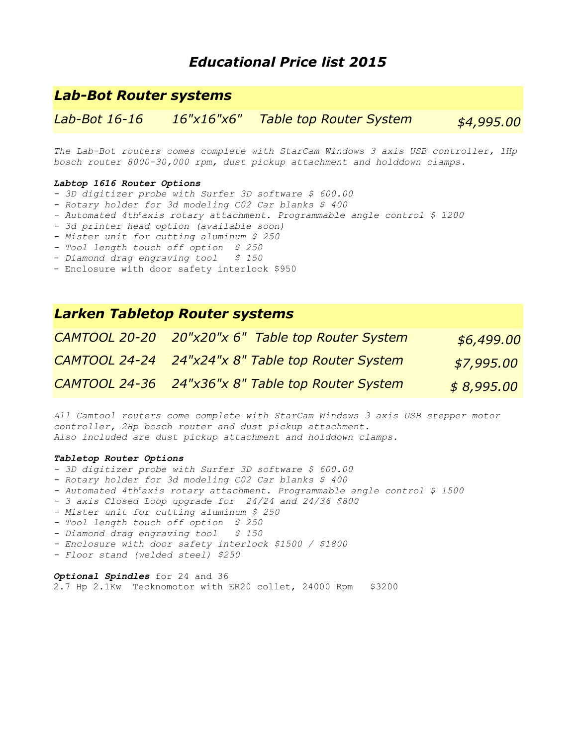# *Educational Price list 2015*

## *Lab-Bot Router systems*

*Lab-Bot 16-16 16"x16"x6" Table top Router System \$4,995.00*

*The Lab-Bot routers comes complete with StarCam Windows 3 axis USB controller, 1Hp bosch router 8000-30,000 rpm, dust pickup attachment and holddown clamps.*

#### *Labtop 1616 Router Options*

- *3D digitizer probe with Surfer 3D software \$ 600.00*
- *Rotary holder for 3d modeling C02 Car blanks \$ 400*
- *Automated 4th<sup>t</sup>axis rotary attachment. Programmable angle control \$ 1200*
- *3d printer head option (available soon)*
- *Mister unit for cutting aluminum \$ 250*
- *Tool length touch off option \$ 250*
- *Diamond drag engraving tool \$ 150*
- Enclosure with door safety interlock \$950

### *Larken Tabletop Router systems*

| CAMTOOL 20-20 20"x20"x 6" Table top Router System | \$6,499.00 |
|---------------------------------------------------|------------|
| CAMTOOL 24-24 24"x24"x 8" Table top Router System | \$7,995.00 |
| CAMTOOL 24-36 24"x36"x 8" Table top Router System | \$8,995.00 |

*All Camtool routers come complete with StarCam Windows 3 axis USB stepper motor controller, 2Hp bosch router and dust pickup attachment. Also included are dust pickup attachment and holddown clamps.*

### *Tabletop Router Options*

- *3D digitizer probe with Surfer 3D software \$ 600.00*
- *Rotary holder for 3d modeling C02 Car blanks \$ 400*
- *Automated 4th<sup>t</sup>axis rotary attachment. Programmable angle control \$ 1500*
- *3 axis Closed Loop upgrade for 24/24 and 24/36 \$800*
- *Mister unit for cutting aluminum \$ 250*
- *Tool length touch off option \$ 250*
- *Diamond drag engraving tool \$ 150*
- *Enclosure with door safety interlock \$1500 / \$1800*
- *Floor stand (welded steel) \$250*

### *Optional Spindles* for 24 and 36

2.7 Hp 2.1Kw Tecknomotor with ER20 collet, 24000 Rpm \$3200